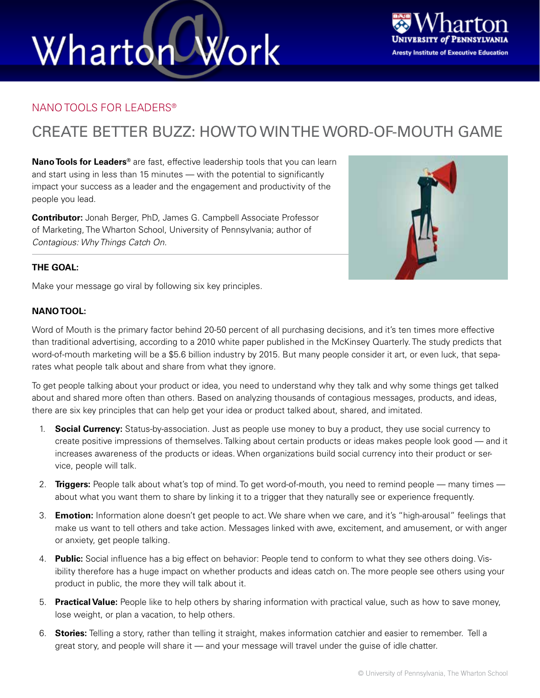# Wharton Work



### NANO TOOLS FOR LEADERS®

### CREATE BETTER BUZZ: HOW TO WIN THE WORD-OF-MOUTH GAME

**Nano Tools for Leaders®** are fast, effective leadership tools that you can learn and start using in less than 15 minutes — with the potential to significantly impact your success as a leader and the engagement and productivity of the people you lead.

**Contributor:** Jonah Berger, PhD, James G. Campbell Associate Professor of Marketing, The Wharton School, University of Pennsylvania; author of *Contagious: Why Things Catch On.*



Make your message go viral by following six key principles.

#### **NANO TOOL:**

Word of Mouth is the primary factor behind 20-50 percent of all purchasing decisions, and it's ten times more effective than traditional advertising, according to a 2010 white paper published in the McKinsey Quarterly. The study predicts that word-of-mouth marketing will be a \$5.6 billion industry by 2015. But many people consider it art, or even luck, that separates what people talk about and share from what they ignore.

To get people talking about your product or idea, you need to understand why they talk and why some things get talked about and shared more often than others. Based on analyzing thousands of contagious messages, products, and ideas, there are six key principles that can help get your idea or product talked about, shared, and imitated.

- 1. **Social Currency:** Status-by-association. Just as people use money to buy a product, they use social currency to create positive impressions of themselves. Talking about certain products or ideas makes people look good — and it increases awareness of the products or ideas. When organizations build social currency into their product or service, people will talk.
- 2. **Triggers:** People talk about what's top of mind. To get word-of-mouth, you need to remind people many times about what you want them to share by linking it to a trigger that they naturally see or experience frequently.
- 3. **Emotion:** Information alone doesn't get people to act. We share when we care, and it's "high-arousal" feelings that make us want to tell others and take action. Messages linked with awe, excitement, and amusement, or with anger or anxiety, get people talking.
- 4. **Public:** Social influence has a big effect on behavior: People tend to conform to what they see others doing. Visibility therefore has a huge impact on whether products and ideas catch on. The more people see others using your product in public, the more they will talk about it.
- 5. **Practical Value:** People like to help others by sharing information with practical value, such as how to save money, lose weight, or plan a vacation, to help others.
- 6. **Stories:** Telling a story, rather than telling it straight, makes information catchier and easier to remember. Tell a great story, and people will share it — and your message will travel under the guise of idle chatter.

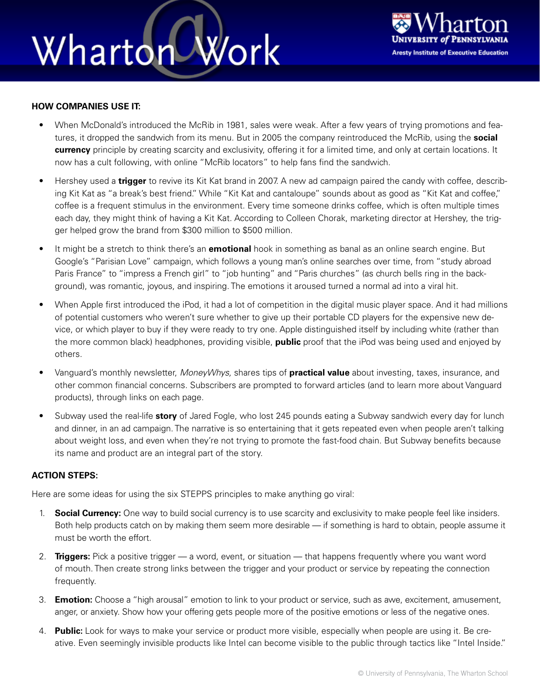## Work Wharton



#### **HOW COMPANIES USE IT:**

- When McDonald's introduced the McRib in 1981, sales were weak. After a few years of trying promotions and features, it dropped the sandwich from its menu. But in 2005 the company reintroduced the McRib, using the **social currency** principle by creating scarcity and exclusivity, offering it for a limited time, and only at certain locations. It now has a cult following, with online "McRib locators" to help fans find the sandwich.
- Hershey used a **trigger** to revive its Kit Kat brand in 2007. A new ad campaign paired the candy with coffee, describing Kit Kat as "a break's best friend." While "Kit Kat and cantaloupe" sounds about as good as "Kit Kat and coffee," coffee is a frequent stimulus in the environment. Every time someone drinks coffee, which is often multiple times each day, they might think of having a Kit Kat. According to Colleen Chorak, marketing director at Hershey, the trigger helped grow the brand from \$300 million to \$500 million.
- It might be a stretch to think there's an **emotional** hook in something as banal as an online search engine. But Google's "Parisian Love" campaign, which follows a young man's online searches over time, from "study abroad Paris France" to "impress a French girl" to "job hunting" and "Paris churches" (as church bells ring in the background), was romantic, joyous, and inspiring. The emotions it aroused turned a normal ad into a viral hit.
- When Apple first introduced the iPod, it had a lot of competition in the digital music player space. And it had millions of potential customers who weren't sure whether to give up their portable CD players for the expensive new device, or which player to buy if they were ready to try one. Apple distinguished itself by including white (rather than the more common black) headphones, providing visible, **public** proof that the iPod was being used and enjoyed by others.
- Vanguard's monthly newsletter, *MoneyWhys,* shares tips of **practical value** about investing, taxes, insurance, and other common financial concerns. Subscribers are prompted to forward articles (and to learn more about Vanguard products), through links on each page.
- Subway used the real-life **story** of Jared Fogle, who lost 245 pounds eating a Subway sandwich every day for lunch and dinner, in an ad campaign. The narrative is so entertaining that it gets repeated even when people aren't talking about weight loss, and even when they're not trying to promote the fast-food chain. But Subway benefits because its name and product are an integral part of the story.

#### **ACTION STEPS:**

Here are some ideas for using the six STEPPS principles to make anything go viral:

- 1. **Social Currency:** One way to build social currency is to use scarcity and exclusivity to make people feel like insiders. Both help products catch on by making them seem more desirable — if something is hard to obtain, people assume it must be worth the effort.
- 2. **Triggers:** Pick a positive trigger a word, event, or situation that happens frequently where you want word of mouth. Then create strong links between the trigger and your product or service by repeating the connection frequently.
- 3. **Emotion:** Choose a "high arousal" emotion to link to your product or service, such as awe, excitement, amusement, anger, or anxiety. Show how your offering gets people more of the positive emotions or less of the negative ones.
- 4. **Public:** Look for ways to make your service or product more visible, especially when people are using it. Be creative. Even seemingly invisible products like Intel can become visible to the public through tactics like "Intel Inside."